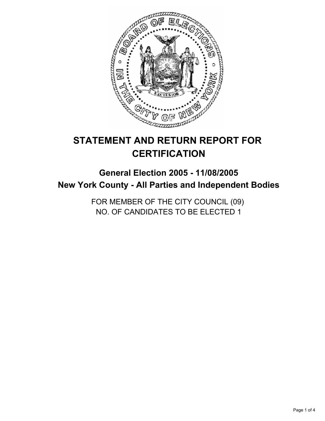

# **STATEMENT AND RETURN REPORT FOR CERTIFICATION**

# **General Election 2005 - 11/08/2005 New York County - All Parties and Independent Bodies**

FOR MEMBER OF THE CITY COUNCIL (09) NO. OF CANDIDATES TO BE ELECTED 1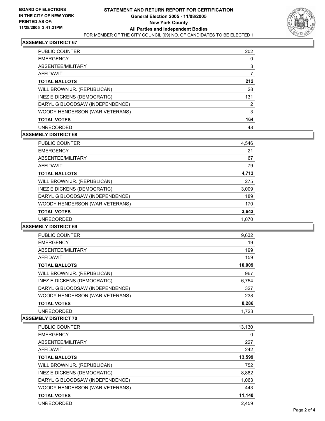

#### **ASSEMBLY DISTRICT 67**

| <b>PUBLIC COUNTER</b>           | 202 |
|---------------------------------|-----|
| <b>EMERGENCY</b>                |     |
| ABSENTEE/MILITARY               | 3   |
| AFFIDAVIT                       |     |
| <b>TOTAL BALLOTS</b>            | 212 |
| WILL BROWN JR. (REPUBLICAN)     | 28  |
| INEZ E DICKENS (DEMOCRATIC)     | 131 |
| DARYL G BLOODSAW (INDEPENDENCE) | າ   |
| WOODY HENDERSON (WAR VETERANS)  | 3   |
| <b>TOTAL VOTES</b>              | 164 |
| <b>UNRECORDED</b>               | 48  |

# **ASSEMBLY DISTRICT 68**

| PUBLIC COUNTER                  | 4,546 |
|---------------------------------|-------|
| <b>EMERGENCY</b>                | 21    |
| ABSENTEE/MILITARY               | 67    |
| AFFIDAVIT                       | 79    |
| <b>TOTAL BALLOTS</b>            | 4,713 |
| WILL BROWN JR. (REPUBLICAN)     | 275   |
| INEZ E DICKENS (DEMOCRATIC)     | 3,009 |
| DARYL G BLOODSAW (INDEPENDENCE) | 189   |
| WOODY HENDERSON (WAR VETERANS)  | 170   |
| <b>TOTAL VOTES</b>              | 3,643 |
| <b>UNRECORDED</b>               | 1,070 |

#### **ASSEMBLY DISTRICT 69**

| PUBLIC COUNTER                  | 9,632  |  |
|---------------------------------|--------|--|
| <b>EMERGENCY</b>                | 19     |  |
| ABSENTEE/MILITARY               | 199    |  |
| <b>AFFIDAVIT</b>                | 159    |  |
| <b>TOTAL BALLOTS</b>            | 10,009 |  |
| WILL BROWN JR. (REPUBLICAN)     | 967    |  |
| INEZ E DICKENS (DEMOCRATIC)     | 6,754  |  |
| DARYL G BLOODSAW (INDEPENDENCE) | 327    |  |
| WOODY HENDERSON (WAR VETERANS)  | 238    |  |
| <b>TOTAL VOTES</b>              | 8,286  |  |
| <b>UNRECORDED</b>               | 1.723  |  |

#### **ASSEMBLY DISTRICT 70**

| PUBLIC COUNTER                  | 13,130 |
|---------------------------------|--------|
| <b>EMERGENCY</b>                | 0      |
| ABSENTEE/MILITARY               | 227    |
| AFFIDAVIT                       | 242    |
| <b>TOTAL BALLOTS</b>            | 13,599 |
| WILL BROWN JR. (REPUBLICAN)     | 752    |
| INEZ E DICKENS (DEMOCRATIC)     | 8,882  |
| DARYL G BLOODSAW (INDEPENDENCE) | 1,063  |
| WOODY HENDERSON (WAR VETERANS)  | 443    |
| <b>TOTAL VOTES</b>              | 11,140 |
| <b>UNRECORDED</b>               | 2.459  |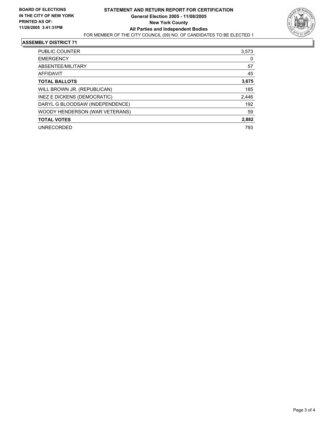

#### **ASSEMBLY DISTRICT 71**

| PUBLIC COUNTER                  | 3,573 |
|---------------------------------|-------|
| <b>EMERGENCY</b>                | 0     |
| ABSENTEE/MILITARY               | 57    |
| AFFIDAVIT                       | 45    |
| <b>TOTAL BALLOTS</b>            | 3,675 |
| WILL BROWN JR. (REPUBLICAN)     | 185   |
| INEZ E DICKENS (DEMOCRATIC)     | 2,446 |
| DARYL G BLOODSAW (INDEPENDENCE) | 192   |
| WOODY HENDERSON (WAR VETERANS)  | 59    |
| <b>TOTAL VOTES</b>              | 2,882 |
| <b>UNRECORDED</b>               | 793   |